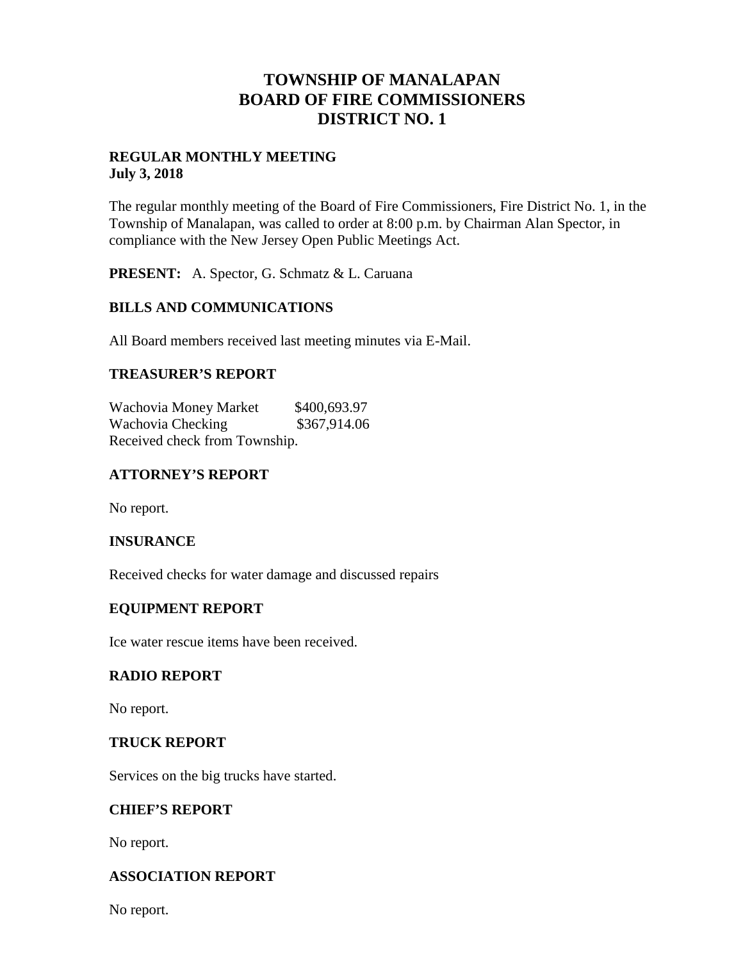## **TOWNSHIP OF MANALAPAN BOARD OF FIRE COMMISSIONERS DISTRICT NO. 1**

#### **REGULAR MONTHLY MEETING July 3, 2018**

The regular monthly meeting of the Board of Fire Commissioners, Fire District No. 1, in the Township of Manalapan, was called to order at 8:00 p.m. by Chairman Alan Spector, in compliance with the New Jersey Open Public Meetings Act.

**PRESENT:** A. Spector, G. Schmatz & L. Caruana

## **BILLS AND COMMUNICATIONS**

All Board members received last meeting minutes via E-Mail.

## **TREASURER'S REPORT**

Wachovia Money Market \$400,693.97 Wachovia Checking  $$367,914.06$ Received check from Township.

## **ATTORNEY'S REPORT**

No report.

#### **INSURANCE**

Received checks for water damage and discussed repairs

#### **EQUIPMENT REPORT**

Ice water rescue items have been received.

#### **RADIO REPORT**

No report.

#### **TRUCK REPORT**

Services on the big trucks have started.

#### **CHIEF'S REPORT**

No report.

## **ASSOCIATION REPORT**

No report.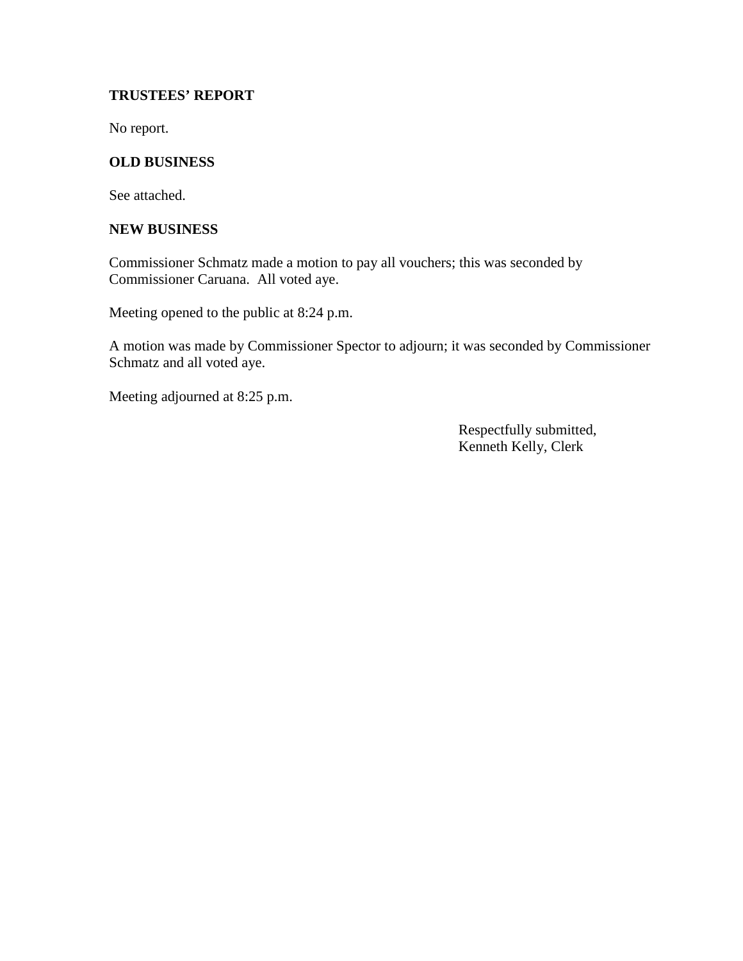## **TRUSTEES' REPORT**

No report.

## **OLD BUSINESS**

See attached.

#### **NEW BUSINESS**

Commissioner Schmatz made a motion to pay all vouchers; this was seconded by Commissioner Caruana. All voted aye.

Meeting opened to the public at 8:24 p.m.

A motion was made by Commissioner Spector to adjourn; it was seconded by Commissioner Schmatz and all voted aye.

Meeting adjourned at 8:25 p.m.

Respectfully submitted, Kenneth Kelly, Clerk